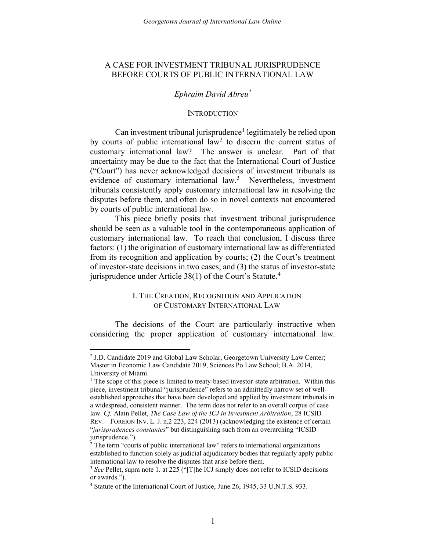# BEFORE COURTS OF PUBLIC INTERNATIONAL LAW A CASE FOR INVESTMENT TRIBUNAL JURISPRUDENCE

## Ephraim David Abreu\*

#### **INTRODUCTION**

Can investment tribunal jurisprudence<sup>1</sup> legitimately be relied upon by courts of public international law<sup>2</sup> to discern the current status of customary international law? The answer is unclear. Part of that uncertainty may be due to the fact that the International Court of Justice ("Court") has never acknowledged decisions of investment tribunals as evidence of customary international law.<sup>3</sup> Nevertheless, investment tribunals consistently apply customary international law in resolving the disputes before them, and often do so in novel contexts not encountered by courts of public international law.

 This piece briefly posits that investment tribunal jurisprudence should be seen as a valuable tool in the contemporaneous application of customary international law. To reach that conclusion, I discuss three factors: (1) the origination of customary international law as differentiated from its recognition and application by courts; (2) the Court's treatment of investor-state decisions in two cases; and (3) the status of investor-state jurisprudence under Article 38(1) of the Court's Statute.<sup>4</sup>

## I. THE CREATION, RECOGNITION AND APPLICATION OF CUSTOMARY INTERNATIONAL LAW

 The decisions of the Court are particularly instructive when considering the proper application of customary international law.

 \* J.D. Candidate 2019 and Global Law Scholar, Georgetown University Law Center; Master in Economic Law Candidate 2019, Sciences Po Law School; B.A. 2014, University of Miami.

<sup>&</sup>lt;sup>1</sup> The scope of this piece is limited to treaty-based investor-state arbitration. Within this piece, investment tribunal "jurisprudence" refers to an admittedly narrow set of well- a widespread, consistent manner. The term does not refer to an overall corpus of case REV. – FOREIGN INV. L. J. n.2 223, 224 (2013) (acknowledging the existence of certain "jurisprudences constantes" but distinguishing such from an overarching "ICSID established approaches that have been developed and applied by investment tribunals in law. Cf. Alain Pellet, The Case Law of the ICJ in Investment Arbitration, 28 ICSID jurisprudence.").

<sup>&</sup>lt;sup>2</sup> The term "courts of public international law" refers to international organizations established to function solely as judicial adjudicatory bodies that regularly apply public international law to resolve the disputes that arise before them.

 $3$  See Pellet, supra note 1. at 225 ("[T]he ICJ simply does not refer to ICSID decisions or awards.").

<sup>&</sup>lt;sup>4</sup> Statute of the International Court of Justice, June 26, 1945, 33 U.N.T.S. 933.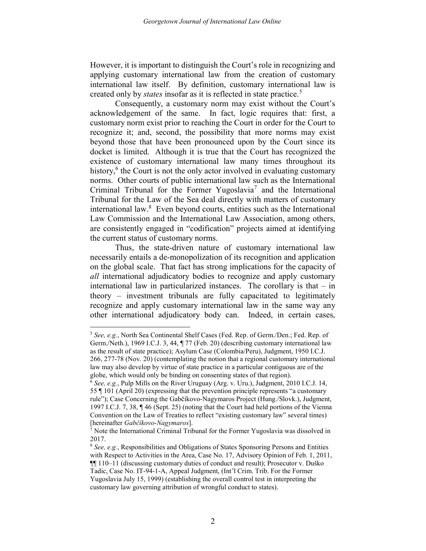However, it is important to distinguish the Court's role in recognizing and applying customary international law from the creation of customary international law itself. By definition, customary international law is created only by *states* insofar as it is reflected in state practice.<sup>5</sup>

 Consequently, a customary norm may exist without the Court's acknowledgement of the same. In fact, logic requires that: first, a recognize it; and, second, the possibility that more norms may exist beyond those that have been pronounced upon by the Court since its docket is limited. Although it is true that the Court has recognized the existence of customary international law many times throughout its history,<sup>6</sup> the Court is not the only actor involved in evaluating customary norms. Other courts of public international law such as the International Criminal Tribunal for the Former Yugoslavia<sup>7</sup> and the International Tribunal for the Law of the Sea deal directly with matters of customary international law.<sup>8</sup> Even beyond courts, entities such as the International are consistently engaged in "codification" projects aimed at identifying customary norm exist prior to reaching the Court in order for the Court to Law Commission and the International Law Association, among others, the current status of customary norms.

 Thus, the state-driven nature of customary international law necessarily entails a de-monopolization of its recognition and application on the global scale. That fact has strong implications for the capacity of all international adjudicatory bodies to recognize and apply customary international law in particularized instances. The corollary is that – in theory – investment tribunals are fully capacitated to legitimately recognize and apply customary international law in the same way any other international adjudicatory body can. Indeed, in certain cases,

 Germ./Neth.), 1969 I.C.J. 3, 44, ¶ 77 (Feb. 20) (describing customary international law 266, 277-78 (Nov. 20) (contemplating the notion that a regional customary international globe, which would only be binding on consenting states of that region). <sup>5</sup> See, e.g., North Sea Continental Shelf Cases (Fed. Rep. of Germ./Den.; Fed. Rep. of as the result of state practice); Asylum Case (Colombia/Peru), Judgment, 1950 I.C.J. law may also develop by virtue of state practice in a particular contiguous are of the

 55 ¶ 101 (April 20) (expressing that the prevention principle represents "a customary rule"); Case Concerning the Gabčíkovo-Nagymaros Project (Hung./Slovk.), Judgment, 1997 I.C.J. 7, 38, ¶ 46 (Sept. 25) (noting that the Court had held portions of the Vienna Convention on the Law of Treaties to reflect "existing customary law" several times) <sup>6</sup> See, e.g., Pulp Mills on the River Uruguay (Arg. v. Uru.), Judgment, 2010 I.C.J. 14, [hereinafter Gabčíkovo-Nagymaros].

 Note the International Criminal Tribunal for the Former Yugoslavia was dissolved in 2017.

 with Respect to Activities in the Area, Case No. 17, Advisory Opinion of Feb. 1, 2011, ¶¶ 110–11 (discussing customary duties of conduct and result); Prosecutor v. Duško Yugoslavia July 15, 1999) (establishing the overall control test in interpreting the customary law governing attribution of wrongful conduct to states). <sup>8</sup> See, e.g., Responsibilities and Obligations of States Sponsoring Persons and Entities Tadic, Case No. IT-94-1-A, Appeal Judgment, (Int'l Crim. Trib. For the Former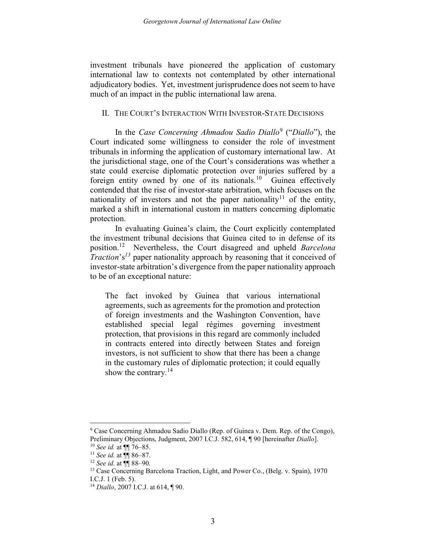investment tribunals have pioneered the application of customary adjudicatory bodies. Yet, investment jurisprudence does not seem to have much of an impact in the public international law arena. international law to contexts not contemplated by other international

## II. THE COURT'S INTERACTION WITH INVESTOR-STATE DECISIONS

In the Case Concerning Ahmadou Sadio Diallo<sup>9</sup> ("Diallo"), the Court indicated some willingness to consider the role of investment tribunals in informing the application of customary international law. At the jurisdictional stage, one of the Court's considerations was whether a state could exercise diplomatic protection over injuries suffered by a foreign entity owned by one of its nationals.<sup>10</sup> Guinea effectively contended that the rise of investor-state arbitration, which focuses on the nationality of investors and not the paper nationality<sup>11</sup> of the entity, marked a shift in international custom in matters concerning diplomatic protection.

 In evaluating Guinea's claim, the Court explicitly contemplated the investment tribunal decisions that Guinea cited to in defense of its position.<sup>12</sup> Nevertheless, the Court disagreed and upheld Barcelona Traction's<sup>13</sup> paper nationality approach by reasoning that it conceived of investor-state arbitration's divergence from the paper nationality approach to be of an exceptional nature:

 The fact invoked by Guinea that various international agreements, such as agreements for the promotion and protection established special legal régimes governing investment protection, that provisions in this regard are commonly included in contracts entered into directly between States and foreign investors, is not sufficient to show that there has been a change in the customary rules of diplomatic protection; it could equally of foreign investments and the Washington Convention, have show the contrary.<sup>14</sup>

<sup>&</sup>lt;sup>9</sup> Case Concerning Ahmadou Sadio Diallo (Rep. of Guinea v. Dem. Rep. of the Congo), Preliminary Objections, Judgment, 2007 I.C.J. 582, 614, ¶ 90 [hereinafter Diallo].

 $10$  See id. at  $\P$  76–85.

<sup>&</sup>lt;sup>11</sup> See id. at  $\P\P$  86–87.

 $12$  See id. at  $\P$  88-90.

<sup>&</sup>lt;sup>13</sup> Case Concerning Barcelona Traction, Light, and Power Co., (Belg. v. Spain), 1970 I.C.J. 1 (Feb. 5).

 $14$  Diallo, 2007 I.C.J. at 614,  $\P$  90.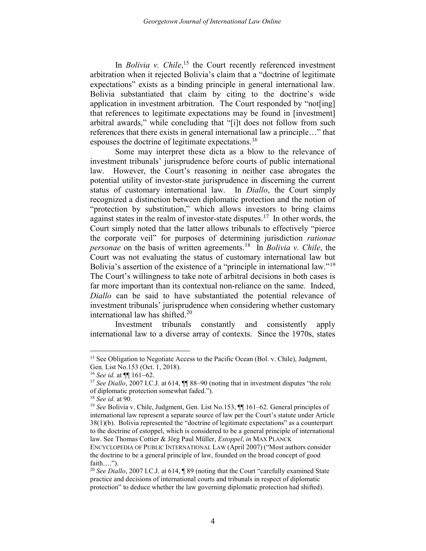In *Bolivia v. Chile*,<sup>15</sup> the Court recently referenced investment arbitration when it rejected Bolivia's claim that a "doctrine of legitimate expectations" exists as a binding principle in general international law. Bolivia substantiated that claim by citing to the doctrine's wide application in investment arbitration. The Court responded by "not[ing] that references to legitimate expectations may be found in [investment] arbitral awards," while concluding that "[i]t does not follow from such references that there exists in general international law a principle…" that espouses the doctrine of legitimate expectations.<sup>16</sup>

 Some may interpret these dicta as a blow to the relevance of investment tribunals' jurisprudence before courts of public international law. However, the Court's reasoning in neither case abrogates the potential utility of investor-state jurisprudence in discerning the current status of customary international law. In Diallo, the Court simply recognized a distinction between diplomatic protection and the notion of "protection by substitution," which allows investors to bring claims against states in the realm of investor-state disputes.<sup>17</sup> In other words, the Court simply noted that the latter allows tribunals to effectively "pierce the corporate veil" for purposes of determining jurisdiction rationae personae on the basis of written agreements.<sup>18</sup> In *Bolivia v. Chile*, the Court was not evaluating the status of customary international law but Bolivia's assertion of the existence of a "principle in international law."<sup>19</sup> The Court's willingness to take note of arbitral decisions in both cases is far more important than its contextual non-reliance on the same. Indeed, Diallo can be said to have substantiated the potential relevance of international law has shifted.<sup>20</sup> investment tribunals' jurisprudence when considering whether customary

and consistently international law to a diverse array of contexts. Since the 1970s, states Investment tribunals constantly and consistently apply

<sup>&</sup>lt;sup>15</sup> See Obligation to Negotiate Access to the Pacific Ocean (Bol. v. Chile), Judgment, Gen. List No.153 (Oct. 1, 2018).

<sup>&</sup>lt;sup>16</sup> See id. at  $\P$  161–62.

<sup>&</sup>lt;sup>17</sup> See Diallo, 2007 I.C.J. at 614,  $\P$  88–90 (noting that in investment disputes "the role of diplomatic protection somewhat faded.").

 $18$  See id. at 90.

 international law represent a separate source of law per the Court's statute under Article law. See Thomas Cottier & Jörg Paul Müller, Estoppel, in MAX PLANCK <sup>19</sup> See Bolivia v. Chile, Judgment, Gen. List No.153,  $\P$  161–62. General principles of 38(1)(b). Bolivia represented the "doctrine of legitimate expectations" as a counterpart to the doctrine of estoppel, which is considered to be a general principle of international

 ENCYCLOPEDIA OF PUBLIC INTERNATIONAL LAW (April 2007) ("Most authors consider the doctrine to be a general principle of law, founded on the broad concept of good faith….").

<sup>&</sup>lt;sup>20</sup> See Diallo, 2007 I.C.J. at 614,  $\sqrt{ }$  89 (noting that the Court "carefully examined State practice and decisions of international courts and tribunals in respect of diplomatic protection" to deduce whether the law governing diplomatic protection had shifted).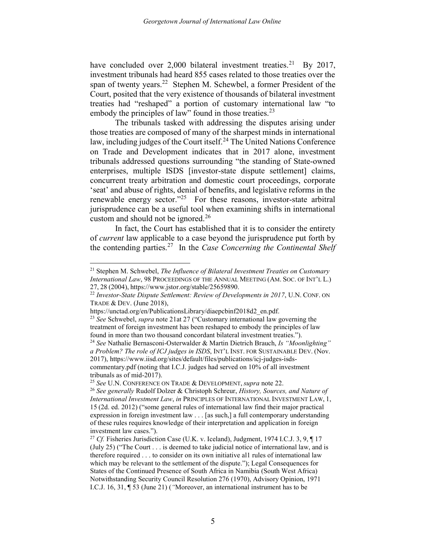have concluded over 2,000 bilateral investment treaties.<sup>21</sup> By 2017, span of twenty years.<sup>22</sup> Stephen M. Schewbel, a former President of the Court, posited that the very existence of thousands of bilateral investment treaties had "reshaped" a portion of customary international law "to embody the principles of law" found in those treaties.<sup>23</sup> investment tribunals had heard 855 cases related to those treaties over the

 The tribunals tasked with addressing the disputes arising under those treaties are composed of many of the sharpest minds in international law, including judges of the Court itself.<sup>24</sup> The United Nations Conference on Trade and Development indicates that in 2017 alone, investment tribunals addressed questions surrounding "the standing of State-owned enterprises, multiple ISDS [investor-state dispute settlement] claims, concurrent treaty arbitration and domestic court proceedings, corporate 'seat' and abuse of rights, denial of benefits, and legislative reforms in the renewable energy sector."<sup>25</sup> For these reasons, investor-state arbitral jurisprudence can be a useful tool when examining shifts in international custom and should not be ignored. $26$ 

 In fact, the Court has established that it is to consider the entirety of *current* law applicable to a case beyond the jurisprudence put forth by the contending parties.<sup>27</sup> In the Case Concerning the Continental Shelf

<u>.</u>

<sup>&</sup>lt;sup>21</sup> Stephen M. Schwebel, The Influence of Bilateral Investment Treaties on Customary International Law, 98 PROCEEDINGS OF THE ANNUAL MEETING (AM. SOC. OF INT'L L.) 27, 28 (2004), https://www.jstor.org/stable/25659890.

 $22$  Investor-State Dispute Settlement: Review of Developments in 2017, U.N. CONF. ON TRADE & DEV. (June 2018),

https://unctad.org/en/PublicationsLibrary/diaepcbinf2018d2\_en.pdf.<br><sup>23</sup> See Schwebel, supra note 21at 27 ("Customary international law governing the treatment of foreign investment has been reshaped to embody the principles of law found in more than two thousand concordant bilateral investment treaties.").

a Problem? The role of ICJ judges in ISDS, INT'L INST. FOR SUSTAINABLE DEV. (Nov. commentary.pdf (noting that I.C.J. judges had served on 10% of all investment tribunals as of mid-2017). <sup>24</sup> See Nathalie Bernasconi-Osterwalder & Martin Dietrich Brauch, Is "Moonlighting" 2017), https://www.iisd.org/sites/default/files/publications/icj-judges-isds-

<sup>&</sup>lt;sup>25</sup> See U.N. CONFERENCE ON TRADE & DEVELOPMENT, supra note 22.

International Investment Law, in PRINCIPLES OF INTERNATIONAL INVESTMENT LAW, 1, 15 (2d. ed. 2012) ("some general rules of international law find their major practical expression in foreign investment law . . . [as such,] a full contemporary understanding of these rules requires knowledge of their interpretation and application in foreign <sup>26</sup> See generally Rudolf Dolzer & Christoph Schreur, *History, Sources, and Nature of* investment law cases.").

<sup>&</sup>lt;sup>27</sup> Cf. Fisheries Jurisdiction Case (U.K. v. Iceland), Judgment, 1974 I.C.J. 3, 9,  $\P$  17 therefore required . . . to consider on its own initiative al1 rules of international law which may be relevant to the settlement of the dispute."); Legal Consequences for States of the Continued Presence of South Africa in Namibia (South West Africa) Notwithstanding Security Council Resolution 276 (1970), Advisory Opinion, 1971 I.C.J. 16, 31, ¶ 53 (June 21) ("Moreover, an international instrument has to be (July 25) ("The Court . . . is deemed to take judicial notice of international law, and is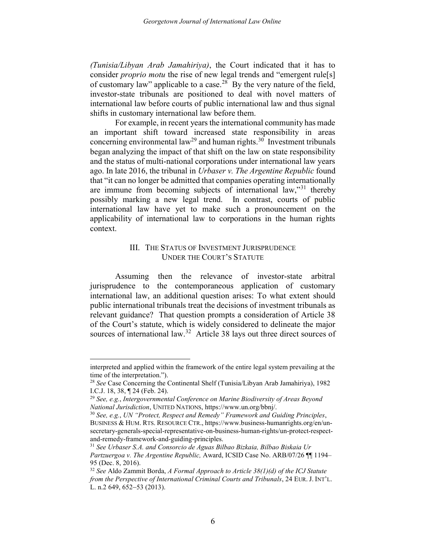(Tunisia/Libyan Arab Jamahiriya), the Court indicated that it has to consider *proprio motu* the rise of new legal trends and "emergent rule[s] of customary law" applicable to a case.<sup>28</sup> By the very nature of the field, investor-state tribunals are positioned to deal with novel matters of international law before courts of public international law and thus signal shifts in customary international law before them.

 For example, in recent years the international community has made an important shift toward increased state responsibility in areas concerning environmental law<sup>29</sup> and human rights.<sup>30</sup> Investment tribunals began analyzing the impact of that shift on the law on state responsibility and the status of multi-national corporations under international law years ago. In late 2016, the tribunal in Urbaser v. The Argentine Republic found that "it can no longer be admitted that companies operating internationally are immune from becoming subjects of international law,"<sup>31</sup> thereby possibly marking a new legal trend. In contrast, courts of public international law have yet to make such a pronouncement on the applicability of international law to corporations in the human rights context.

# III. THE STATUS OF INVESTMENT JURISPRUDENCE UNDER THE COURT'S STATUTE

 Assuming then the relevance of investor-state arbitral jurisprudence to the contemporaneous application of customary international law, an additional question arises: To what extent should public international tribunals treat the decisions of investment tribunals as relevant guidance? That question prompts a consideration of Article 38 of the Court's statute, which is widely considered to delineate the major sources of international law.<sup>32</sup> Article 38 lays out three direct sources of

1

interpreted and applied within the framework of the entire legal system prevailing at the time of the interpretation.").

 I.C.J. 18, 38, ¶ 24 (Feb. 24). <sup>28</sup> See Case Concerning the Continental Shelf (Tunisia/Libyan Arab Jamahiriya), 1982

<sup>&</sup>lt;sup>29</sup> See, e.g., Intergovernmental Conference on Marine Biodiversity of Areas Beyond National Jurisdiction, UNITED NATIONS, https://www.un.org/bbnj/.

 BUSINESS & HUM. RTS. RESOURCE CTR., https://www.business-humanrights.org/en/un- $30$  See, e.g., UN "Protect, Respect and Remedy" Framework and Guiding Principles, secretary-generals-special-representative-on-business-human-rights/un-protect-respectand-remedy-framework-and-guiding-principles.

 $31$  See Urbaser S.A. and Consorcio de Aguas Bilbao Bizkaia, Bilbao Biskaia Ur Partzuergoa v. The Argentine Republic, Award, ICSID Case No. ARB/07/26 [[1194-95 (Dec. 8, 2016).

<sup>&</sup>lt;sup>32</sup> See Aldo Zammit Borda, A Formal Approach to Article  $38(1)(d)$  of the ICJ Statute from the Perspective of International Criminal Courts and Tribunals, 24 EUR. J. INT'L. L. n.2 649, 652–53 (2013).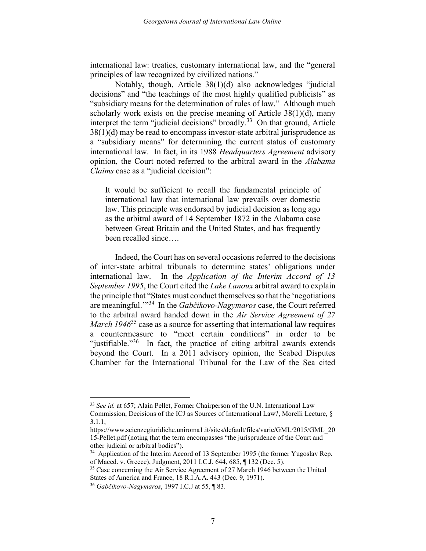international law: treaties, customary international law, and the "general principles of law recognized by civilized nations."

 Notably, though, Article 38(1)(d) also acknowledges "judicial decisions" and "the teachings of the most highly qualified publicists" as "subsidiary means for the determination of rules of law." Although much scholarly work exists on the precise meaning of Article 38(1)(d), many interpret the term "judicial decisions" broadly.<sup>33</sup> On that ground, Article 38(1)(d) may be read to encompass investor-state arbitral jurisprudence as a "subsidiary means" for determining the current status of customary international law. In fact, in its 1988 Headquarters Agreement advisory opinion, the Court noted referred to the arbitral award in the Alabama Claims case as a "judicial decision":

 It would be sufficient to recall the fundamental principle of international law that international law prevails over domestic law. This principle was endorsed by judicial decision as long ago as the arbitral award of 14 September 1872 in the Alabama case between Great Britain and the United States, and has frequently been recalled since….

 Indeed, the Court has on several occasions referred to the decisions of inter-state arbitral tribunals to determine states' obligations under international law. In the Application of the Interim Accord of 13 September 1995, the Court cited the Lake Lanoux arbitral award to explain the principle that "States must conduct themselves so that the 'negotiations' are meaningful."<sup>34</sup> In the Gabčikovo-Nagymaros case, the Court referred to the arbitral award handed down in the Air Service Agreement of 27 *March 1946*<sup>35</sup> case as a source for asserting that international law requires a countermeasure to "meet certain conditions" in order to be "justifiable."<sup>36</sup> In fact, the practice of citing arbitral awards extends beyond the Court. In a 2011 advisory opinion, the Seabed Disputes Chamber for the International Tribunal for the Law of the Sea cited

1

<sup>33</sup> See id. at 657; Alain Pellet, Former Chairperson of the U.N. International Law Commission, Decisions of the ICJ as Sources of International Law?, Morelli Lecture, §

<sup>3.1.1,</sup>

 15-Pellet.pdf (noting that the term encompasses "the jurisprudence of the Court and https://www.scienzegiuridiche.uniroma1.it/sites/default/files/varie/GML/2015/GML\_20 other judicial or arbitral bodies").

<sup>&</sup>lt;sup>34</sup> Application of the Interim Accord of 13 September 1995 (the former Yugoslav Rep. of Maced. v. Greece), Judgment, 2011 I.C.J. 644, 685, ¶ 132 (Dec. 5).

<sup>&</sup>lt;sup>35</sup> Case concerning the Air Service Agreement of 27 March 1946 between the United States of America and France, 18 R.I.A.A. 443 (Dec. 9, 1971).

<sup>36</sup> Gabčíkovo-Nagymaros, 1997 I.C.J at 55, ¶ 83.